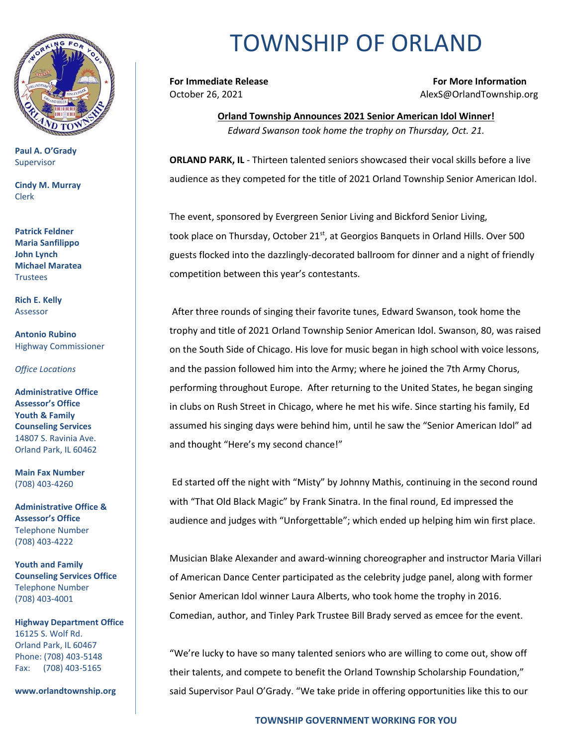

**Paul A. O'Grady** Supervisor

**Cindy M. Murray** Clerk

**Patrick Feldner Maria Sanfilippo John Lynch Michael Maratea Trustees** 

**Rich E. Kelly** Assessor

**Antonio Rubino** Highway Commissioner

*Office Locations*

**Administrative Office Assessor's Office Youth & Family Counseling Services** 14807 S. Ravinia Ave. Orland Park, IL 60462

**Main Fax Number**  (708) 403-4260

**Administrative Office & Assessor's Office**  Telephone Number (708) 403-4222

**Youth and Family Counseling Services Office**  Telephone Number (708) 403-4001

**Highway Department Office** 16125 S. Wolf Rd. Orland Park, IL 60467 Phone: (708) 403-5148 Fax: (708) 403-5165

**www.orlandtownship.org**

## TOWNSHIP OF ORLAND

**For Immediate Release For More Information** October 26, 2021 AlexS@OrlandTownship.org

> **Orland Township Announces 2021 Senior American Idol Winner!** *Edward Swanson took home the trophy on Thursday, Oct. 21.*

**ORLAND PARK, IL** - Thirteen talented seniors showcased their vocal skills before a live audience as they competed for the title of 2021 Orland Township Senior American Idol.

The event, sponsored by Evergreen Senior Living and Bickford Senior Living, took place on Thursday, October 21<sup>st</sup>, at Georgios Banquets in Orland Hills. Over 500 guests flocked into the dazzlingly-decorated ballroom for dinner and a night of friendly competition between this year's contestants.

After three rounds of singing their favorite tunes, Edward Swanson, took home the trophy and title of 2021 Orland Township Senior American Idol. Swanson, 80, was raised on the South Side of Chicago. His love for music began in high school with voice lessons, and the passion followed him into the Army; where he joined the 7th Army Chorus, performing throughout Europe. After returning to the United States, he began singing in clubs on Rush Street in Chicago, where he met his wife. Since starting his family, Ed assumed his singing days were behind him, until he saw the "Senior American Idol" ad and thought "Here's my second chance!"

Ed started off the night with "Misty" by Johnny Mathis, continuing in the second round with "That Old Black Magic" by Frank Sinatra. In the final round, Ed impressed the audience and judges with "Unforgettable"; which ended up helping him win first place.

Musician Blake Alexander and award-winning choreographer and instructor Maria Villari of American Dance Center participated as the celebrity judge panel, along with former Senior American Idol winner Laura Alberts, who took home the trophy in 2016. Comedian, author, and Tinley Park Trustee Bill Brady served as emcee for the event.

"We're lucky to have so many talented seniors who are willing to come out, show off their talents, and compete to benefit the Orland Township Scholarship Foundation," said Supervisor Paul O'Grady. "We take pride in offering opportunities like this to our